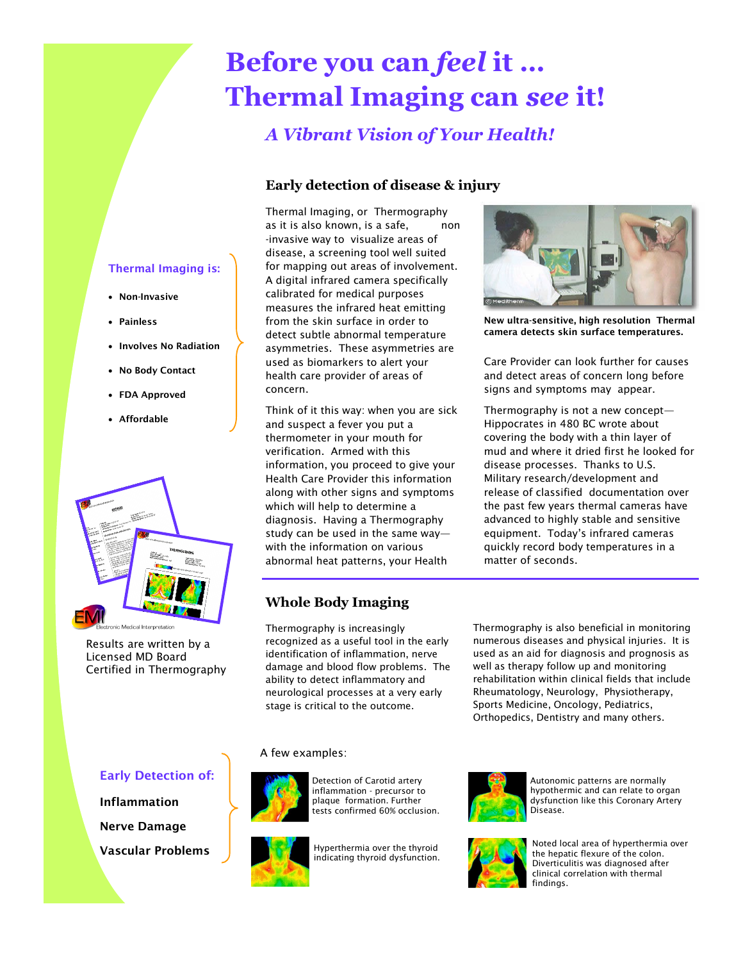## **Before you can** *feel* **it … Thermal Imaging can** *see* **it!**

### *A Vibrant Vision of Your Health!*

#### **Early detection of disease & injury**

Thermal Imaging, or Thermography as it is also known, is a safe, non -invasive way to visualize areas of disease, a screening tool well suited for mapping out areas of involvement. A digital infrared camera specifically calibrated for medical purposes measures the infrared heat emitting from the skin surface in order to detect subtle abnormal temperature asymmetries. These asymmetries are used as biomarkers to alert your health care provider of areas of concern.

Think of it this way: when you are sick and suspect a fever you put a thermometer in your mouth for verification. Armed with this information, you proceed to give your Health Care Provider this information along with other signs and symptoms which will help to determine a diagnosis. Having a Thermography study can be used in the same way with the information on various abnormal heat patterns, your Health

#### **Whole Body Imaging**

Thermography is increasingly recognized as a useful tool in the early identification of inflammation, nerve damage and blood flow problems. The ability to detect inflammatory and neurological processes at a very early stage is critical to the outcome.

# **New ultra-sensitive, high resolution Thermal**

**camera detects skin surface temperatures.**

Care Provider can look further for causes and detect areas of concern long before signs and symptoms may appear.

Thermography is not a new concept— Hippocrates in 480 BC wrote about covering the body with a thin layer of mud and where it dried first he looked for disease processes. Thanks to U.S. Military research/development and release of classified documentation over the past few years thermal cameras have advanced to highly stable and sensitive equipment. Today's infrared cameras quickly record body temperatures in a matter of seconds.

Thermography is also beneficial in monitoring numerous diseases and physical injuries. It is used as an aid for diagnosis and prognosis as well as therapy follow up and monitoring rehabilitation within clinical fields that include Rheumatology, Neurology, Physiotherapy, Sports Medicine, Oncology, Pediatrics, Orthopedics, Dentistry and many others.

#### **Early Detection of:**

**Inflammation**

**Nerve Damage**

**Vascular Problems**





Detection of Carotid artery inflammation - precursor to plaque formation. Further tests confirmed 60% occlusion.

Hyperthermia over the thyroid indicating thyroid dysfunction.



Autonomic patterns are normally hypothermic and can relate to organ dysfunction like this Coronary Artery Disease.



Noted local area of hyperthermia over the hepatic flexure of the colon. Diverticulitis was diagnosed after clinical correlation with thermal findings.

#### **Thermal Imaging is:**

- **Non-Invasive**
- **Painless**
- **Involves No Radiation**
- **No Body Contact**
- **FDA Approved**
- **Affordable**



Results are written by a Licensed MD Board Certified in Thermography